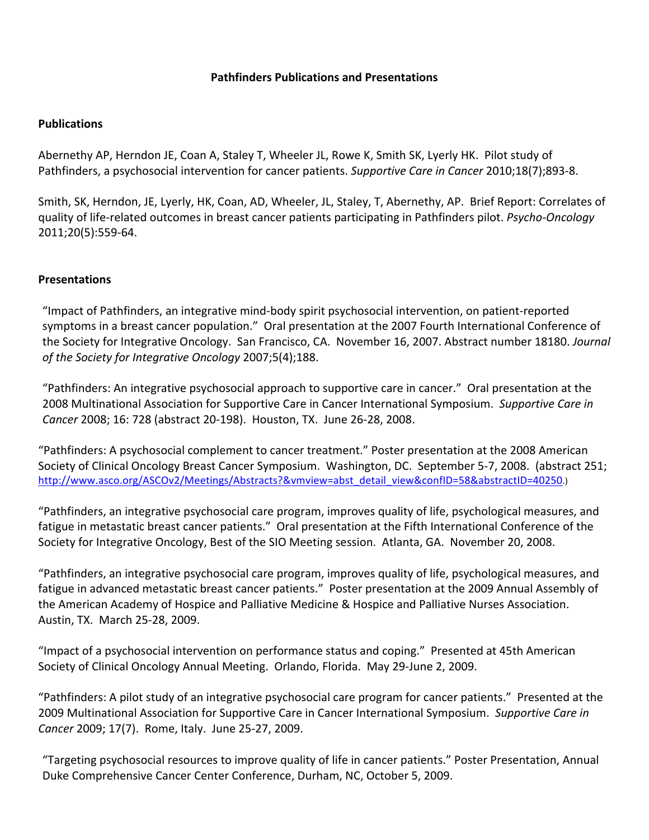## **Pathfinders Publications and Presentations**

## **Publications**

Abernethy AP, Herndon JE, Coan A, Staley T, Wheeler JL, Rowe K, Smith SK, Lyerly HK. Pilot study of Pathfinders, a psychosocial intervention for cancer patients. *Supportive Care in Cancer* 2010;18(7);893-8.

Smith, SK, Herndon, JE, Lyerly, HK, Coan, AD, Wheeler, JL, Staley, T, Abernethy, AP. Brief Report: Correlates of quality of life-related outcomes in breast cancer patients participating in Pathfinders pilot. *Psycho-Oncology* 2011;20(5):559-64.

## **Presentations**

"Impact of Pathfinders, an integrative mind-body spirit psychosocial intervention, on patient-reported symptoms in a breast cancer population." Oral presentation at the 2007 Fourth International Conference of the Society for Integrative Oncology. San Francisco, CA. November 16, 2007. Abstract number 18180. *Journal* of the Society for Integrative Oncology 2007;5(4);188.

"Pathfinders: An integrative psychosocial approach to supportive care in cancer." Oral presentation at the 2008 Multinational Association for Supportive Care in Cancer International Symposium. Supportive Care in *Cancer* 2008; 16: 728 (abstract 20-198). Houston, TX. June 26-28, 2008.

"Pathfinders: A psychosocial complement to cancer treatment." Poster presentation at the 2008 American Society of Clinical Oncology Breast Cancer Symposium. Washington, DC. September 5-7, 2008. (abstract 251; http://www.asco.org/ASCOv2/Meetings/Abstracts?&vmview=abst\_detail\_view&confID=58&abstractID=40250.)

"Pathfinders, an integrative psychosocial care program, improves quality of life, psychological measures, and fatigue in metastatic breast cancer patients." Oral presentation at the Fifth International Conference of the Society for Integrative Oncology, Best of the SIO Meeting session. Atlanta, GA. November 20, 2008.

"Pathfinders, an integrative psychosocial care program, improves quality of life, psychological measures, and fatigue in advanced metastatic breast cancer patients." Poster presentation at the 2009 Annual Assembly of the American Academy of Hospice and Palliative Medicine & Hospice and Palliative Nurses Association. Austin, TX. March 25-28, 2009.

"Impact of a psychosocial intervention on performance status and coping." Presented at 45th American Society of Clinical Oncology Annual Meeting. Orlando, Florida. May 29-June 2, 2009.

"Pathfinders: A pilot study of an integrative psychosocial care program for cancer patients." Presented at the 2009 Multinational Association for Supportive Care in Cancer International Symposium. Supportive Care in *Cancer* 2009; 17(7). Rome, Italy. June 25-27, 2009. 

"Targeting psychosocial resources to improve quality of life in cancer patients." Poster Presentation, Annual Duke Comprehensive Cancer Center Conference, Durham, NC, October 5, 2009.